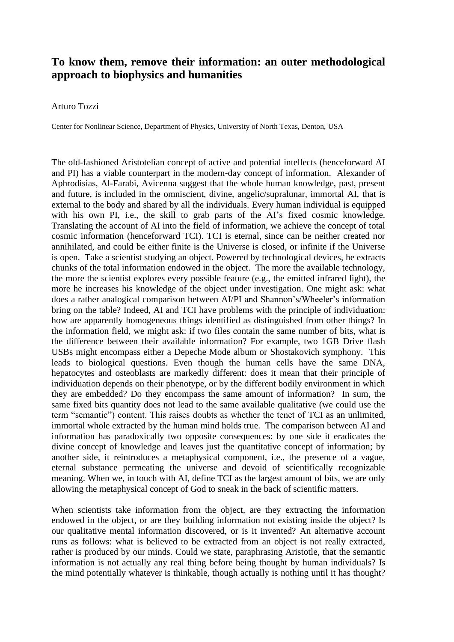## **To know them, remove their information: an outer methodological approach to biophysics and humanities**

## Arturo Tozzi

Center for Nonlinear Science, Department of Physics, University of North Texas, Denton, USA

The old-fashioned Aristotelian concept of active and potential intellects (henceforward AI and PI) has a viable counterpart in the modern-day concept of information. Alexander of Aphrodisias, Al-Farabi, Avicenna suggest that the whole human knowledge, past, present and future, is included in the omniscient, divine, angelic/supralunar, immortal AI, that is external to the body and shared by all the individuals. Every human individual is equipped with his own PI, i.e., the skill to grab parts of the AI's fixed cosmic knowledge. Translating the account of AI into the field of information, we achieve the concept of total cosmic information (henceforward TCI). TCI is eternal, since can be neither created nor annihilated, and could be either finite is the Universe is closed, or infinite if the Universe is open. Take a scientist studying an object. Powered by technological devices, he extracts chunks of the total information endowed in the object. The more the available technology, the more the scientist explores every possible feature (e.g., the emitted infrared light), the more he increases his knowledge of the object under investigation. One might ask: what does a rather analogical comparison between AI/PI and Shannon's/Wheeler's information bring on the table? Indeed, AI and TCI have problems with the principle of individuation: how are apparently homogeneous things identified as distinguished from other things? In the information field, we might ask: if two files contain the same number of bits, what is the difference between their available information? For example, two 1GB Drive flash USBs might encompass either a Depeche Mode album or Shostakovich symphony. This leads to biological questions. Even though the human cells have the same DNA, hepatocytes and osteoblasts are markedly different: does it mean that their principle of individuation depends on their phenotype, or by the different bodily environment in which they are embedded? Do they encompass the same amount of information? In sum, the same fixed bits quantity does not lead to the same available qualitative (we could use the term "semantic") content. This raises doubts as whether the tenet of TCI as an unlimited, immortal whole extracted by the human mind holds true. The comparison between AI and information has paradoxically two opposite consequences: by one side it eradicates the divine concept of knowledge and leaves just the quantitative concept of information; by another side, it reintroduces a metaphysical component, i.e., the presence of a vague, eternal substance permeating the universe and devoid of scientifically recognizable meaning. When we, in touch with AI, define TCI as the largest amount of bits, we are only allowing the metaphysical concept of God to sneak in the back of scientific matters.

When scientists take information from the object, are they extracting the information endowed in the object, or are they building information not existing inside the object? Is our qualitative mental information discovered, or is it invented? An alternative account runs as follows: what is believed to be extracted from an object is not really extracted, rather is produced by our minds. Could we state, paraphrasing Aristotle, that the semantic information is not actually any real thing before being thought by human individuals? Is the mind potentially whatever is thinkable, though actually is nothing until it has thought?